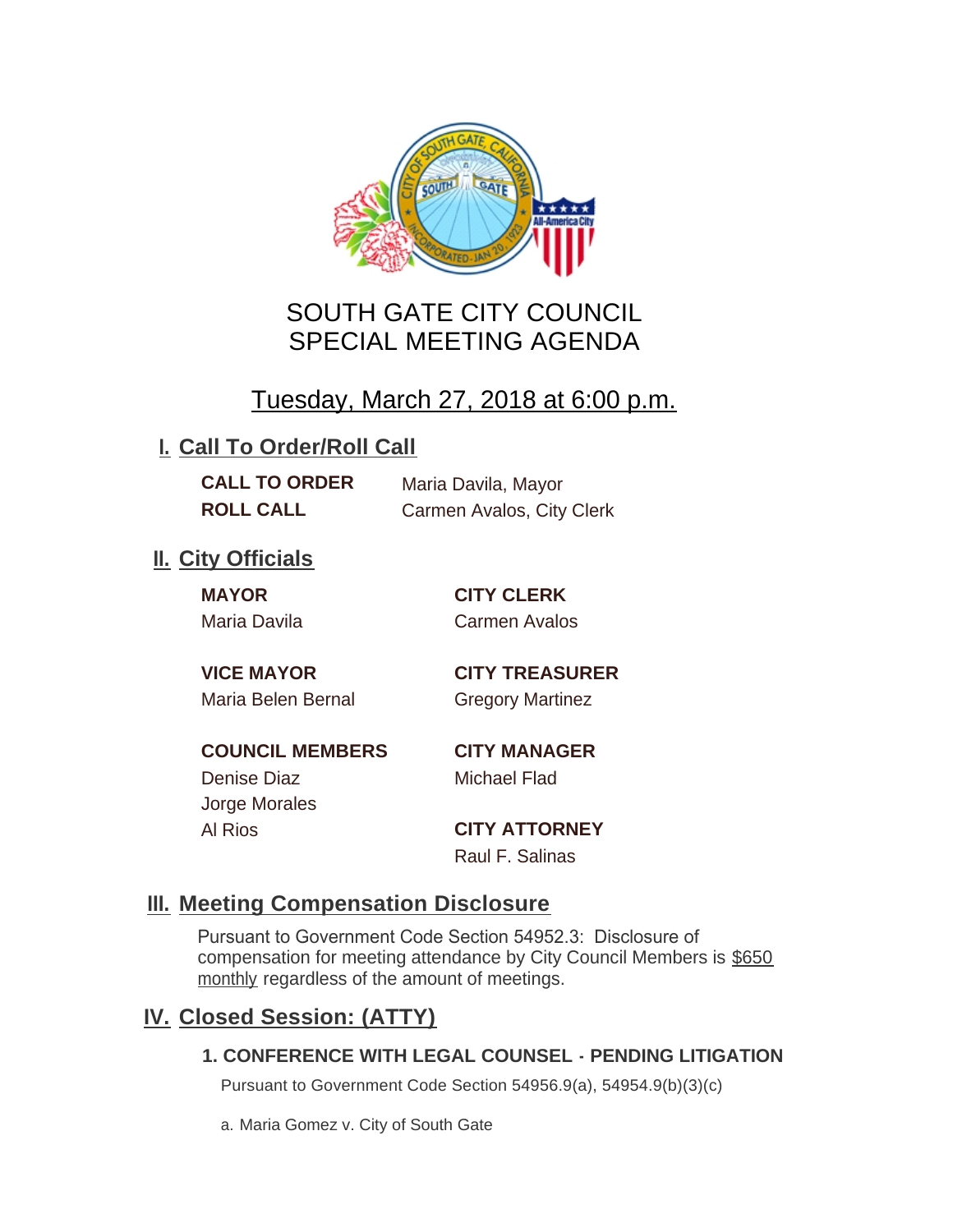

## SOUTH GATE CITY COUNCIL SPECIAL MEETING AGENDA

# Tuesday, March 27, 2018 at 6:00 p.m.

## **I. Call To Order/Roll Call**

**CALL TO ORDER** Maria Davila, Mayor **ROLL CALL** Carmen Avalos, City Clerk

## **II.** City Officials

**MAYOR CITY CLERK**

Maria Davila Carmen Avalos

Maria Belen Bernal **Gregory Martinez** 

**VICE MAYOR CITY TREASURER**

**COUNCIL MEMBERS CITY MANAGER** Denise Diaz Michael Flad

Jorge Morales

Al Rios **CITY ATTORNEY** Raul F. Salinas

### **Meeting Compensation Disclosure III.**

Pursuant to Government Code Section 54952.3: Disclosure of compensation for meeting attendance by City Council Members is \$650 monthly regardless of the amount of meetings.

## **Closed Session: (ATTY) IV.**

#### **1. CONFERENCE WITH LEGAL COUNSEL - PENDING LITIGATION**

Pursuant to Government Code Section 54956.9(a), 54954.9(b)(3)(c)

a. Maria Gomez v. City of South Gate